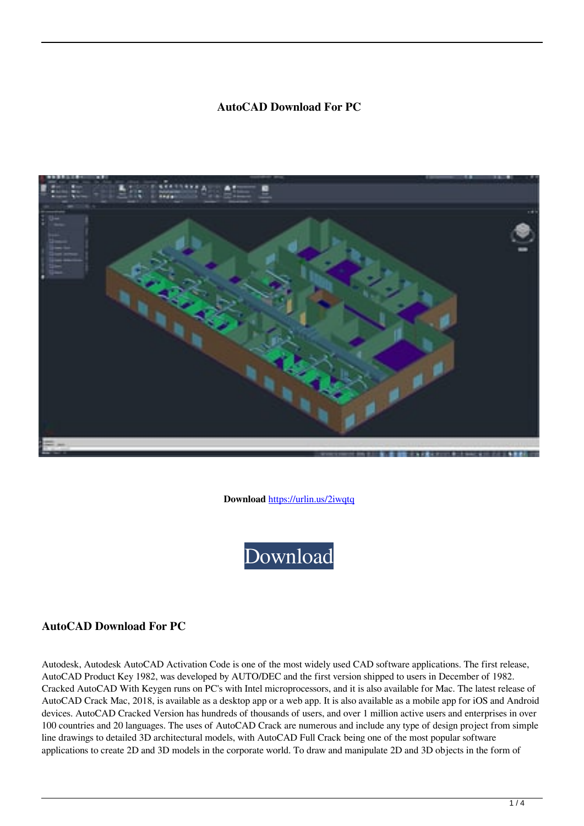#### **AutoCAD Download For PC**



**Download** <https://urlin.us/2iwqtq>



### **AutoCAD Download For PC**

Autodesk, Autodesk AutoCAD Activation Code is one of the most widely used CAD software applications. The first release, AutoCAD Product Key 1982, was developed by AUTO/DEC and the first version shipped to users in December of 1982. Cracked AutoCAD With Keygen runs on PC's with Intel microprocessors, and it is also available for Mac. The latest release of AutoCAD Crack Mac, 2018, is available as a desktop app or a web app. It is also available as a mobile app for iOS and Android devices. AutoCAD Cracked Version has hundreds of thousands of users, and over 1 million active users and enterprises in over 100 countries and 20 languages. The uses of AutoCAD Crack are numerous and include any type of design project from simple line drawings to detailed 3D architectural models, with AutoCAD Full Crack being one of the most popular software applications to create 2D and 3D models in the corporate world. To draw and manipulate 2D and 3D objects in the form of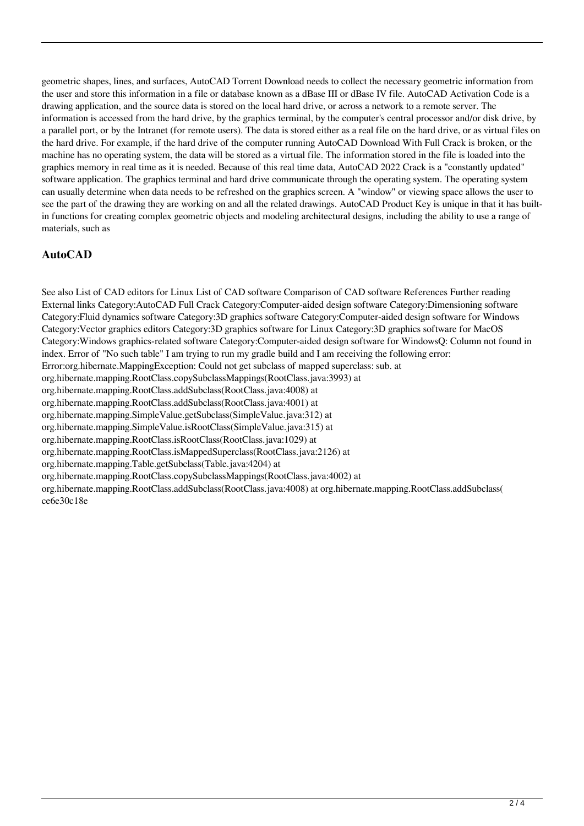geometric shapes, lines, and surfaces, AutoCAD Torrent Download needs to collect the necessary geometric information from the user and store this information in a file or database known as a dBase III or dBase IV file. AutoCAD Activation Code is a drawing application, and the source data is stored on the local hard drive, or across a network to a remote server. The information is accessed from the hard drive, by the graphics terminal, by the computer's central processor and/or disk drive, by a parallel port, or by the Intranet (for remote users). The data is stored either as a real file on the hard drive, or as virtual files on the hard drive. For example, if the hard drive of the computer running AutoCAD Download With Full Crack is broken, or the machine has no operating system, the data will be stored as a virtual file. The information stored in the file is loaded into the graphics memory in real time as it is needed. Because of this real time data, AutoCAD 2022 Crack is a "constantly updated" software application. The graphics terminal and hard drive communicate through the operating system. The operating system can usually determine when data needs to be refreshed on the graphics screen. A "window" or viewing space allows the user to see the part of the drawing they are working on and all the related drawings. AutoCAD Product Key is unique in that it has builtin functions for creating complex geometric objects and modeling architectural designs, including the ability to use a range of materials, such as

# **AutoCAD**

See also List of CAD editors for Linux List of CAD software Comparison of CAD software References Further reading External links Category:AutoCAD Full Crack Category:Computer-aided design software Category:Dimensioning software Category:Fluid dynamics software Category:3D graphics software Category:Computer-aided design software for Windows Category:Vector graphics editors Category:3D graphics software for Linux Category:3D graphics software for MacOS Category:Windows graphics-related software Category:Computer-aided design software for WindowsQ: Column not found in index. Error of "No such table" I am trying to run my gradle build and I am receiving the following error: Error:org.hibernate.MappingException: Could not get subclass of mapped superclass: sub. at org.hibernate.mapping.RootClass.copySubclassMappings(RootClass.java:3993) at org.hibernate.mapping.RootClass.addSubclass(RootClass.java:4008) at org.hibernate.mapping.RootClass.addSubclass(RootClass.java:4001) at org.hibernate.mapping.SimpleValue.getSubclass(SimpleValue.java:312) at org.hibernate.mapping.SimpleValue.isRootClass(SimpleValue.java:315) at org.hibernate.mapping.RootClass.isRootClass(RootClass.java:1029) at org.hibernate.mapping.RootClass.isMappedSuperclass(RootClass.java:2126) at org.hibernate.mapping.Table.getSubclass(Table.java:4204) at org.hibernate.mapping.RootClass.copySubclassMappings(RootClass.java:4002) at org.hibernate.mapping.RootClass.addSubclass(RootClass.java:4008) at org.hibernate.mapping.RootClass.addSubclass( ce6e30c18e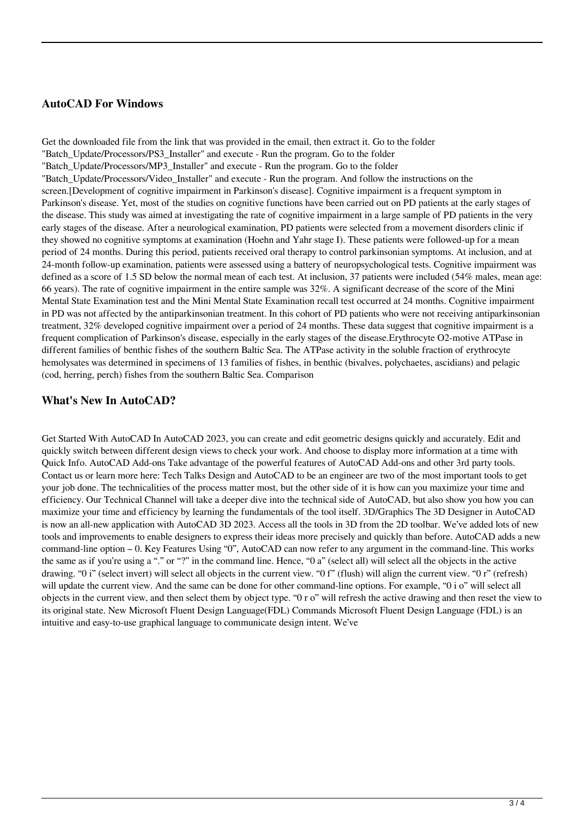## **AutoCAD For Windows**

Get the downloaded file from the link that was provided in the email, then extract it. Go to the folder "Batch\_Update/Processors/PS3\_Installer" and execute - Run the program. Go to the folder "Batch\_Update/Processors/MP3\_Installer" and execute - Run the program. Go to the folder "Batch\_Update/Processors/Video\_Installer" and execute - Run the program. And follow the instructions on the screen.[Development of cognitive impairment in Parkinson's disease]. Cognitive impairment is a frequent symptom in Parkinson's disease. Yet, most of the studies on cognitive functions have been carried out on PD patients at the early stages of the disease. This study was aimed at investigating the rate of cognitive impairment in a large sample of PD patients in the very early stages of the disease. After a neurological examination, PD patients were selected from a movement disorders clinic if they showed no cognitive symptoms at examination (Hoehn and Yahr stage I). These patients were followed-up for a mean period of 24 months. During this period, patients received oral therapy to control parkinsonian symptoms. At inclusion, and at 24-month follow-up examination, patients were assessed using a battery of neuropsychological tests. Cognitive impairment was defined as a score of 1.5 SD below the normal mean of each test. At inclusion, 37 patients were included (54% males, mean age: 66 years). The rate of cognitive impairment in the entire sample was  $32\%$ . A significant decrease of the score of the Mini Mental State Examination test and the Mini Mental State Examination recall test occurred at 24 months. Cognitive impairment in PD was not affected by the antiparkinsonian treatment. In this cohort of PD patients who were not receiving antiparkinsonian treatment, 32% developed cognitive impairment over a period of 24 months. These data suggest that cognitive impairment is a frequent complication of Parkinson's disease, especially in the early stages of the disease.Erythrocyte O2-motive ATPase in different families of benthic fishes of the southern Baltic Sea. The ATPase activity in the soluble fraction of erythrocyte hemolysates was determined in specimens of 13 families of fishes, in benthic (bivalves, polychaetes, ascidians) and pelagic (cod, herring, perch) fishes from the southern Baltic Sea. Comparison

#### **What's New In AutoCAD?**

Get Started With AutoCAD In AutoCAD 2023, you can create and edit geometric designs quickly and accurately. Edit and quickly switch between different design views to check your work. And choose to display more information at a time with Quick Info. AutoCAD Add-ons Take advantage of the powerful features of AutoCAD Add-ons and other 3rd party tools. Contact us or learn more here: Tech Talks Design and AutoCAD to be an engineer are two of the most important tools to get your job done. The technicalities of the process matter most, but the other side of it is how can you maximize your time and efficiency. Our Technical Channel will take a deeper dive into the technical side of AutoCAD, but also show you how you can maximize your time and efficiency by learning the fundamentals of the tool itself. 3D/Graphics The 3D Designer in AutoCAD is now an all-new application with AutoCAD 3D 2023. Access all the tools in 3D from the 2D toolbar. We've added lots of new tools and improvements to enable designers to express their ideas more precisely and quickly than before. AutoCAD adds a new command-line option – 0. Key Features Using "0", AutoCAD can now refer to any argument in the command-line. This works the same as if you're using a "." or "?" in the command line. Hence, "0 a" (select all) will select all the objects in the active drawing. "0 i" (select invert) will select all objects in the current view. "0 f" (flush) will align the current view. "0 r" (refresh) will update the current view. And the same can be done for other command-line options. For example, "0 i o" will select all objects in the current view, and then select them by object type. "0 r o" will refresh the active drawing and then reset the view to its original state. New Microsoft Fluent Design Language(FDL) Commands Microsoft Fluent Design Language (FDL) is an intuitive and easy-to-use graphical language to communicate design intent. We've